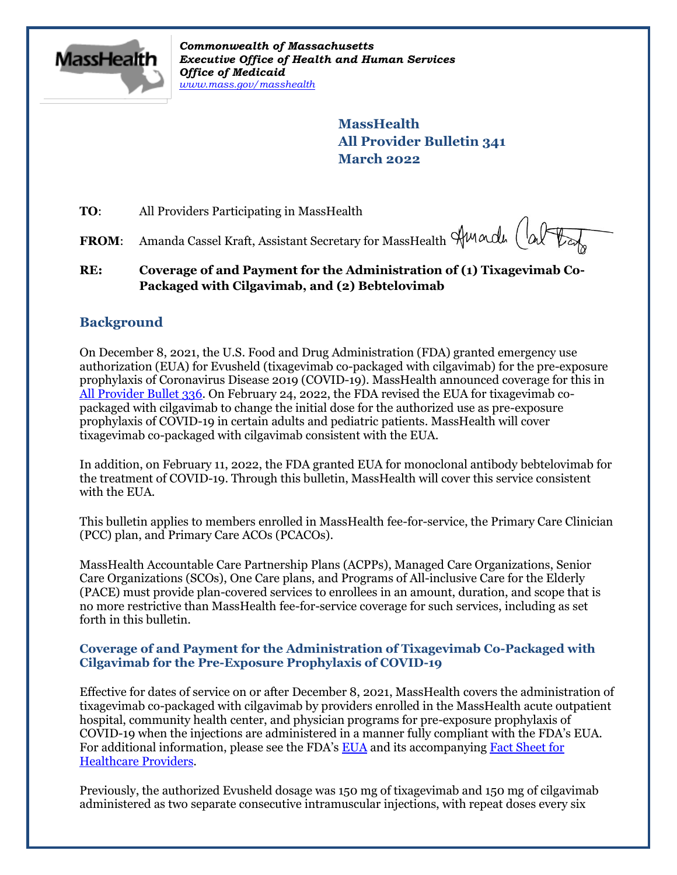

*Commonwealth of Massachusetts Executive Office of Health and Human Services Office of Medicaid [www.mass.gov/masshealth](http://www.mass.gov/masshealth)*

> **MassHealth All Provider Bulletin 341 March 2022**

**TO:** All Providers Participating in MassHealth

FROM: Amanda Cassel Kraft, Assistant Secretary for MassHealth Amarde (alter

# **RE: Coverage of and Payment for the Administration of (1) Tixagevimab Co-Packaged with Cilgavimab, and (2) Bebtelovimab**

# **Background**

On December 8, 2021, the U.S. Food and Drug Administration (FDA) granted emergency use authorization (EUA) for Evusheld (tixagevimab co-packaged with cilgavimab) for the pre-exposure prophylaxis of Coronavirus Disease 2019 (COVID-19). MassHealth announced coverage for this in [All Provider Bullet 336.](https://www.mass.gov/doc/all-provider-bulletin-336-coverage-of-and-payment-for-the-administration-of-1-tixagevimab-co-packaged-with-cilgavimab-and-2-remdesivir-in-an-outpatient-setting-corrected/download) On February 24, 2022, the FDA revised the EUA for tixagevimab copackaged with cilgavimab to change the initial dose for the authorized use as pre-exposure prophylaxis of COVID-19 in certain adults and pediatric patients. MassHealth will cover tixagevimab co-packaged with cilgavimab consistent with the EUA.

In addition, on February 11, 2022, the FDA granted EUA for monoclonal antibody bebtelovimab for the treatment of COVID-19. Through this bulletin, MassHealth will cover this service consistent with the EUA.

This bulletin applies to members enrolled in MassHealth fee-for-service, the Primary Care Clinician (PCC) plan, and Primary Care ACOs (PCACOs).

MassHealth Accountable Care Partnership Plans (ACPPs), Managed Care Organizations, Senior Care Organizations (SCOs), One Care plans, and Programs of All-inclusive Care for the Elderly (PACE) must provide plan-covered services to enrollees in an amount, duration, and scope that is no more restrictive than MassHealth fee-for-service coverage for such services, including as set forth in this bulletin.

## **Coverage of and Payment for the Administration of Tixagevimab Co-Packaged with Cilgavimab for the Pre-Exposure Prophylaxis of COVID-19**

Effective for dates of service on or after December 8, 2021, MassHealth covers the administration of tixagevimab co-packaged with cilgavimab by providers enrolled in the MassHealth acute outpatient hospital, community health center, and physician programs for pre-exposure prophylaxis of COVID-19 when the injections are administered in a manner fully compliant with the FDA's EUA. For additional information, please see the FDA's [EUA](https://www.fda.gov/media/154704/download) and its accompanying [Fact Sheet](https://www.fda.gov/media/154701/download) for [Healthcare Providers.](https://www.fda.gov/media/154701/download)

Previously, the authorized Evusheld dosage was 150 mg of tixagevimab and 150 mg of cilgavimab administered as two separate consecutive intramuscular injections, with repeat doses every six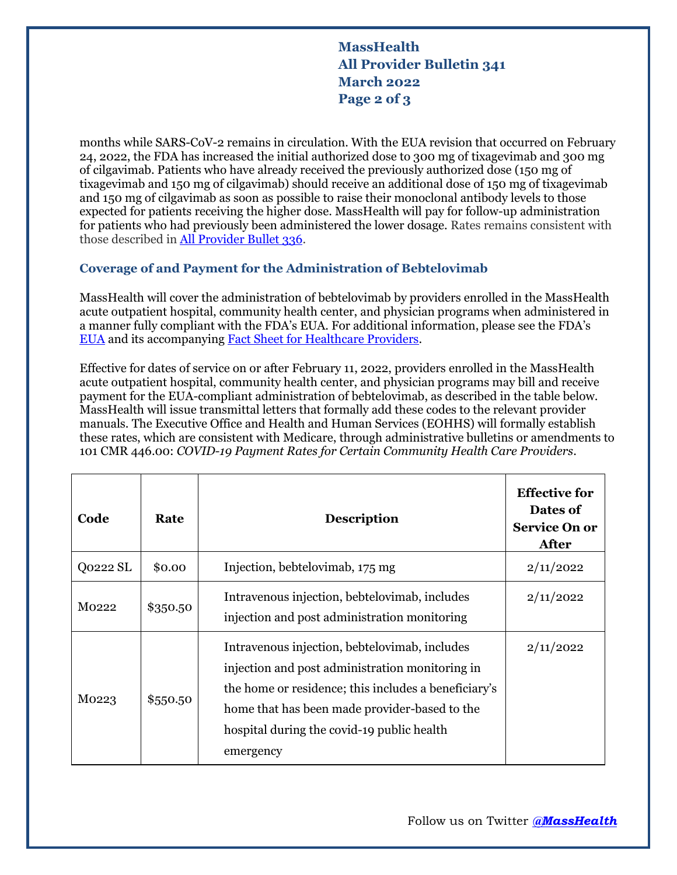# **MassHealth All Provider Bulletin 341 March 2022 Page 2 of 3**

months while SARS-CoV-2 remains in circulation. With the EUA revision that occurred on February 24, 2022, the FDA has increased the initial authorized dose to 300 mg of tixagevimab and 300 mg of cilgavimab. Patients who have already received the previously authorized dose (150 mg of tixagevimab and 150 mg of cilgavimab) should receive an additional dose of 150 mg of tixagevimab and 150 mg of cilgavimab as soon as possible to raise their monoclonal antibody levels to those expected for patients receiving the higher dose. MassHealth will pay for follow-up administration for patients who had previously been administered the lower dosage. Rates remains consistent with those described in [All Provider Bullet 336.](https://www.mass.gov/doc/all-provider-bulletin-336-coverage-of-and-payment-for-the-administration-of-1-tixagevimab-co-packaged-with-cilgavimab-and-2-remdesivir-in-an-outpatient-setting-corrected/download)

## **Coverage of and Payment for the Administration of Bebtelovimab**

MassHealth will cover the administration of bebtelovimab by providers enrolled in the MassHealth acute outpatient hospital, community health center, and physician programs when administered in a manner fully compliant with the FDA's EUA. For additional information, please see the FDA's [EUA](https://www.fda.gov/media/156151/download) and its accompanying [Fact Sheet for Healthcare Providers.](https://www.fda.gov/media/156152/download)

Effective for dates of service on or after February 11, 2022, providers enrolled in the MassHealth acute outpatient hospital, community health center, and physician programs may bill and receive payment for the EUA-compliant administration of bebtelovimab, as described in the table below. MassHealth will issue transmittal letters that formally add these codes to the relevant provider manuals. The Executive Office and Health and Human Services (EOHHS) will formally establish these rates, which are consistent with Medicare, through administrative bulletins or amendments to 101 CMR 446.00: *COVID-19 Payment Rates for Certain Community Health Care Providers*.

| Code     | Rate     | <b>Description</b>                                                                                                                                                                                                                                                   | <b>Effective for</b><br>Dates of<br><b>Service On or</b><br><b>After</b> |
|----------|----------|----------------------------------------------------------------------------------------------------------------------------------------------------------------------------------------------------------------------------------------------------------------------|--------------------------------------------------------------------------|
| Q0222 SL | \$0.00   | Injection, bebtelovimab, 175 mg                                                                                                                                                                                                                                      | 2/11/2022                                                                |
| M0222    | \$350.50 | Intravenous injection, bebtelovimab, includes<br>injection and post administration monitoring                                                                                                                                                                        | 2/11/2022                                                                |
| M0223    | \$550.50 | Intravenous injection, bebtelovimab, includes<br>injection and post administration monitoring in<br>the home or residence; this includes a beneficiary's<br>home that has been made provider-based to the<br>hospital during the covid-19 public health<br>emergency | 2/11/2022                                                                |